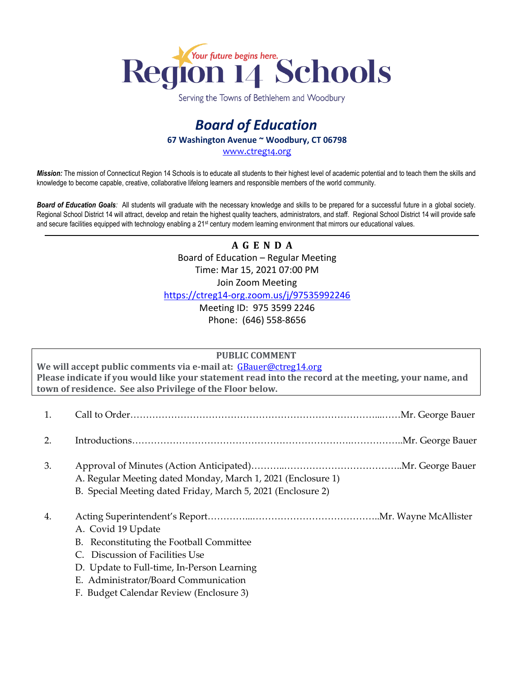

Serving the Towns of Bethlehem and Woodbury

## *Board of Education* **67 Washington Avenue ~ Woodbury, CT 06798**

[www.ctreg14.org](http://www.ctreg14.org/)

*Mission:* The mission of Connecticut Region 14 Schools is to educate all students to their highest level of academic potential and to teach them the skills and knowledge to become capable, creative, collaborative lifelong learners and responsible members of the world community.

*Board of Education Goals:* All students will graduate with the necessary knowledge and skills to be prepared for a successful future in a global society. Regional School District 14 will attract, develop and retain the highest quality teachers, administrators, and staff. Regional School District 14 will provide safe and secure facilities equipped with technology enabling a 21<sup>st</sup> century modern learning environment that mirrors our educational values.

> **A G E N D A** Board of Education – Regular Meeting Time: Mar 15, 2021 07:00 PM Join Zoom Meeting <https://ctreg14-org.zoom.us/j/97535992246> Meeting ID: 975 3599 2246

Phone: (646) 558-8656

## **PUBLIC COMMENT**

**We will accept public comments via e-mail at:** [GBauer@ctreg14.org](mailto:GBauer@ctreg14.org) **Please indicate if you would like your statement read into the record at the meeting, your name, and town of residence. See also Privilege of the Floor below.**

| 2. |                                                                                                                                                                                                                                    |  |
|----|------------------------------------------------------------------------------------------------------------------------------------------------------------------------------------------------------------------------------------|--|
| 3. | A. Regular Meeting dated Monday, March 1, 2021 (Enclosure 1)<br>B. Special Meeting dated Friday, March 5, 2021 (Enclosure 2)                                                                                                       |  |
| 4. | A. Covid 19 Update<br>B. Reconstituting the Football Committee<br>C. Discussion of Facilities Use<br>D. Update to Full-time, In-Person Learning<br>E. Administrator/Board Communication<br>F. Budget Calendar Review (Enclosure 3) |  |